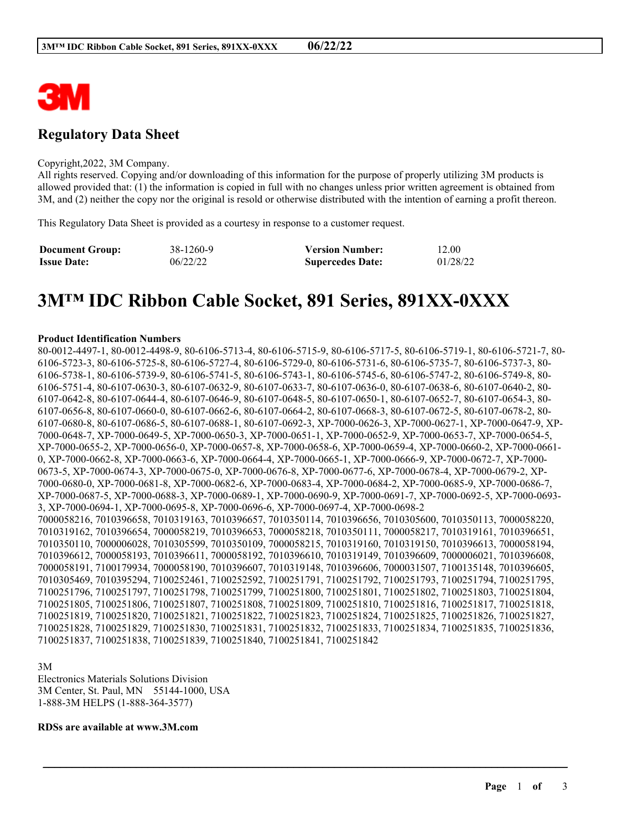

# **Regulatory Data Sheet**

#### Copyright,2022, 3M Company.

All rights reserved. Copying and/or downloading of this information for the purpose of properly utilizing 3M products is allowed provided that: (1) the information is copied in full with no changes unless prior written agreement is obtained from 3M, and (2) neither the copy nor the original is resold or otherwise distributed with the intention of earning a profit thereon.

This Regulatory Data Sheet is provided as a courtesy in response to a customer request.

| <b>Document Group:</b> | 38-1260-9 | <b>Version Number:</b>  | 12.00    |
|------------------------|-----------|-------------------------|----------|
| <b>Issue Date:</b>     | 06/22/22  | <b>Supercedes Date:</b> | 01/28/22 |

# **3M™ IDC Ribbon Cable Socket, 891 Series, 891XX-0XXX**

#### **Product Identification Numbers**

80-0012-4497-1, 80-0012-4498-9, 80-6106-5713-4, 80-6106-5715-9, 80-6106-5717-5, 80-6106-5719-1, 80-6106-5721-7, 80- 6106-5723-3, 80-6106-5725-8, 80-6106-5727-4, 80-6106-5729-0, 80-6106-5731-6, 80-6106-5735-7, 80-6106-5737-3, 80- 6106-5738-1, 80-6106-5739-9, 80-6106-5741-5, 80-6106-5743-1, 80-6106-5745-6, 80-6106-5747-2, 80-6106-5749-8, 80- 6106-5751-4, 80-6107-0630-3, 80-6107-0632-9, 80-6107-0633-7, 80-6107-0636-0, 80-6107-0638-6, 80-6107-0640-2, 80- 6107-0642-8, 80-6107-0644-4, 80-6107-0646-9, 80-6107-0648-5, 80-6107-0650-1, 80-6107-0652-7, 80-6107-0654-3, 80- 6107-0656-8, 80-6107-0660-0, 80-6107-0662-6, 80-6107-0664-2, 80-6107-0668-3, 80-6107-0672-5, 80-6107-0678-2, 80- 6107-0680-8, 80-6107-0686-5, 80-6107-0688-1, 80-6107-0692-3, XP-7000-0626-3, XP-7000-0627-1, XP-7000-0647-9, XP-7000-0648-7, XP-7000-0649-5, XP-7000-0650-3, XP-7000-0651-1, XP-7000-0652-9, XP-7000-0653-7, XP-7000-0654-5, XP-7000-0655-2, XP-7000-0656-0, XP-7000-0657-8, XP-7000-0658-6, XP-7000-0659-4, XP-7000-0660-2, XP-7000-0661- 0, XP-7000-0662-8, XP-7000-0663-6, XP-7000-0664-4, XP-7000-0665-1, XP-7000-0666-9, XP-7000-0672-7, XP-7000- 0673-5, XP-7000-0674-3, XP-7000-0675-0, XP-7000-0676-8, XP-7000-0677-6, XP-7000-0678-4, XP-7000-0679-2, XP-7000-0680-0, XP-7000-0681-8, XP-7000-0682-6, XP-7000-0683-4, XP-7000-0684-2, XP-7000-0685-9, XP-7000-0686-7, XP-7000-0687-5, XP-7000-0688-3, XP-7000-0689-1, XP-7000-0690-9, XP-7000-0691-7, XP-7000-0692-5, XP-7000-0693- 3, XP-7000-0694-1, XP-7000-0695-8, XP-7000-0696-6, XP-7000-0697-4, XP-7000-0698-2 7000058216, 7010396658, 7010319163, 7010396657, 7010350114, 7010396656, 7010305600, 7010350113, 7000058220, 7010319162, 7010396654, 7000058219, 7010396653, 7000058218, 7010350111, 7000058217, 7010319161, 7010396651, 7010350110, 7000006028, 7010305599, 7010350109, 7000058215, 7010319160, 7010319150, 7010396613, 7000058194, 7010396612, 7000058193, 7010396611, 7000058192, 7010396610, 7010319149, 7010396609, 7000006021, 7010396608, 7000058191, 7100179934, 7000058190, 7010396607, 7010319148, 7010396606, 7000031507, 7100135148, 7010396605, 7010305469, 7010395294, 7100252461, 7100252592, 7100251791, 7100251792, 7100251793, 7100251794, 7100251795, 7100251796, 7100251797, 7100251798, 7100251799, 7100251800, 7100251801, 7100251802, 7100251803, 7100251804, 7100251805, 7100251806, 7100251807, 7100251808, 7100251809, 7100251810, 7100251816, 7100251817, 7100251818, 7100251819, 7100251820, 7100251821, 7100251822, 7100251823, 7100251824, 7100251825, 7100251826, 7100251827, 7100251828, 7100251829, 7100251830, 7100251831, 7100251832, 7100251833, 7100251834, 7100251835, 7100251836, 7100251837, 7100251838, 7100251839, 7100251840, 7100251841, 7100251842

\_\_\_\_\_\_\_\_\_\_\_\_\_\_\_\_\_\_\_\_\_\_\_\_\_\_\_\_\_\_\_\_\_\_\_\_\_\_\_\_\_\_\_\_\_\_\_\_\_\_\_\_\_\_\_\_\_\_\_\_\_\_\_\_\_\_\_\_\_\_\_\_\_\_\_\_\_\_\_\_\_\_\_\_\_\_\_\_\_\_

3M Electronics Materials Solutions Division 3M Center, St. Paul, MN 55144-1000, USA 1-888-3M HELPS (1-888-364-3577)

#### **RDSs are available at www.3M.com**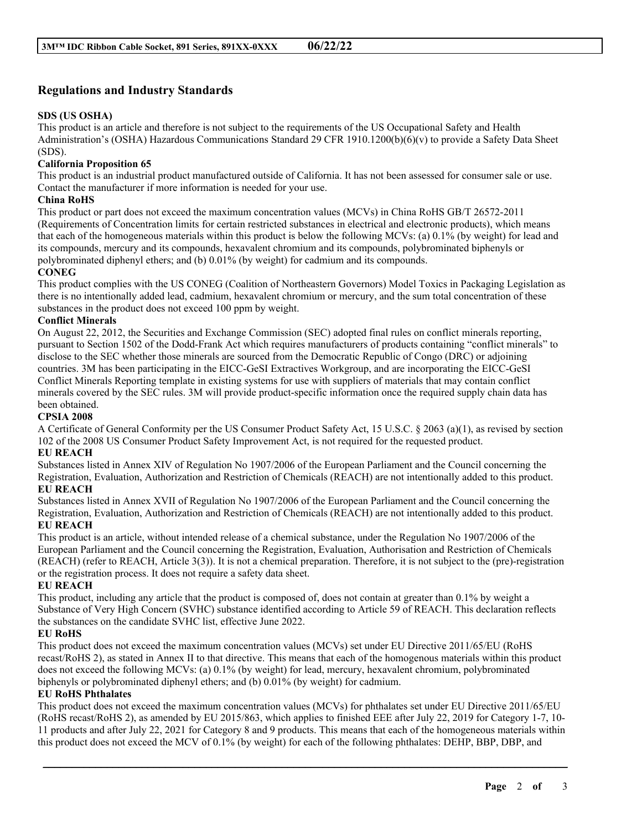## **Regulations and Industry Standards**

## **SDS (US OSHA)**

This product is an article and therefore is not subject to the requirements of the US Occupational Safety and Health Administration's (OSHA) Hazardous Communications Standard 29 CFR 1910.1200(b)(6)(v) to provide a Safety Data Sheet (SDS).

## **California Proposition 65**

This product is an industrial product manufactured outside of California. It has not been assessed for consumer sale or use. Contact the manufacturer if more information is needed for your use.

#### **China RoHS**

This product or part does not exceed the maximum concentration values (MCVs) in China RoHS GB/T 26572-2011 (Requirements of Concentration limits for certain restricted substances in electrical and electronic products), which means that each of the homogeneous materials within this product is below the following MCVs: (a) 0.1% (by weight) for lead and its compounds, mercury and its compounds, hexavalent chromium and its compounds, polybrominated biphenyls or polybrominated diphenyl ethers; and (b) 0.01% (by weight) for cadmium and its compounds.

## **CONEG**

This product complies with the US CONEG (Coalition of Northeastern Governors) Model Toxics in Packaging Legislation as there is no intentionally added lead, cadmium, hexavalent chromium or mercury, and the sum total concentration of these substances in the product does not exceed 100 ppm by weight.

#### **Conflict Minerals**

On August 22, 2012, the Securities and Exchange Commission (SEC) adopted final rules on conflict minerals reporting, pursuant to Section 1502 of the Dodd-Frank Act which requires manufacturers of products containing "conflict minerals" to disclose to the SEC whether those minerals are sourced from the Democratic Republic of Congo (DRC) or adjoining countries. 3M has been participating in the EICC-GeSI Extractives Workgroup, and are incorporating the EICC-GeSI Conflict Minerals Reporting template in existing systems for use with suppliers of materials that may contain conflict minerals covered by the SEC rules. 3M will provide product-specific information once the required supply chain data has been obtained.

#### **CPSIA 2008**

A Certificate of General Conformity per the US Consumer Product Safety Act, 15 U.S.C. § 2063 (a)(1), as revised by section 102 of the 2008 US Consumer Product Safety Improvement Act, is not required for the requested product.

#### **EU REACH**

Substances listed in Annex XIV of Regulation No 1907/2006 of the European Parliament and the Council concerning the Registration, Evaluation, Authorization and Restriction of Chemicals (REACH) are not intentionally added to this product. **EU REACH**

# Substances listed in Annex XVII of Regulation No 1907/2006 of the European Parliament and the Council concerning the Registration, Evaluation, Authorization and Restriction of Chemicals (REACH) are not intentionally added to this product.

#### **EU REACH**

This product is an article, without intended release of a chemical substance, under the Regulation No 1907/2006 of the European Parliament and the Council concerning the Registration, Evaluation, Authorisation and Restriction of Chemicals (REACH) (refer to REACH, Article 3(3)). It is not a chemical preparation. Therefore, it is not subject to the (pre)-registration or the registration process. It does not require a safety data sheet.

#### **EU REACH**

This product, including any article that the product is composed of, does not contain at greater than 0.1% by weight a Substance of Very High Concern (SVHC) substance identified according to Article 59 of REACH. This declaration reflects the substances on the candidate SVHC list, effective June 2022.

## **EU RoHS**

This product does not exceed the maximum concentration values (MCVs) set under EU Directive 2011/65/EU (RoHS recast/RoHS 2), as stated in Annex II to that directive. This means that each of the homogenous materials within this product does not exceed the following MCVs: (a) 0.1% (by weight) for lead, mercury, hexavalent chromium, polybrominated biphenyls or polybrominated diphenyl ethers; and (b) 0.01% (by weight) for cadmium.

#### **EU RoHS Phthalates**

This product does not exceed the maximum concentration values (MCVs) for phthalates set under EU Directive 2011/65/EU (RoHS recast/RoHS 2), as amended by EU 2015/863, which applies to finished EEE after July 22, 2019 for Category 1-7, 10- 11 products and after July 22, 2021 for Category 8 and 9 products. This means that each of the homogeneous materials within this product does not exceed the MCV of 0.1% (by weight) for each of the following phthalates: DEHP, BBP, DBP, and

\_\_\_\_\_\_\_\_\_\_\_\_\_\_\_\_\_\_\_\_\_\_\_\_\_\_\_\_\_\_\_\_\_\_\_\_\_\_\_\_\_\_\_\_\_\_\_\_\_\_\_\_\_\_\_\_\_\_\_\_\_\_\_\_\_\_\_\_\_\_\_\_\_\_\_\_\_\_\_\_\_\_\_\_\_\_\_\_\_\_